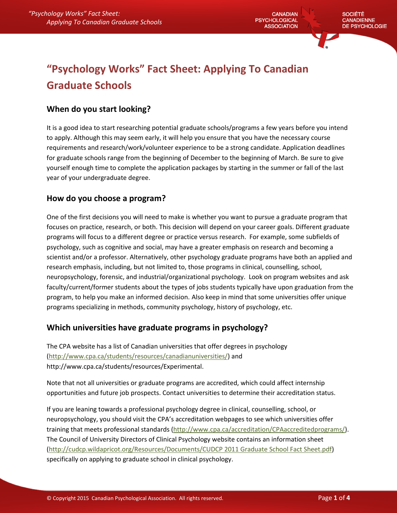**CANADIAN PSYCHOLOGICAL ASSOCIATION** 

# **"Psychology Works" Fact Sheet: Applying To Canadian Graduate Schools**

## **When do you start looking?**

It is a good idea to start researching potential graduate schools/programs a few years before you intend to apply. Although this may seem early, it will help you ensure that you have the necessary course requirements and research/work/volunteer experience to be a strong candidate. Application deadlines for graduate schools range from the beginning of December to the beginning of March. Be sure to give yourself enough time to complete the application packages by starting in the summer or fall of the last year of your undergraduate degree.

### **How do you choose a program?**

One of the first decisions you will need to make is whether you want to pursue a graduate program that focuses on practice, research, or both. This decision will depend on your career goals. Different graduate programs will focus to a different degree or practice versus research. For example, some subfields of psychology, such as cognitive and social, may have a greater emphasis on research and becoming a scientist and/or a professor. Alternatively, other psychology graduate programs have both an applied and research emphasis, including, but not limited to, those programs in clinical, counselling, school, neuropsychology, forensic, and industrial/organizational psychology. Look on program websites and ask faculty/current/former students about the types of jobs students typically have upon graduation from the program, to help you make an informed decision. Also keep in mind that some universities offer unique programs specializing in methods, community psychology, history of psychology, etc.

## **Which universities have graduate programs in psychology?**

The CPA website has a list of Canadian universities that offer degrees in psychology [\(http://www.cpa.ca/students/resources/canadianuniversities/\)](http://www.cpa.ca/students/resources/canadianuniversities/) and http://www.cpa.ca/students/resources/Experimental.

Note that not all universities or graduate programs are accredited, which could affect internship opportunities and future job prospects. Contact universities to determine their accreditation status.

If you are leaning towards a professional psychology degree in clinical, counselling, school, or neuropsychology, you should visit the CPA's accreditation webpages to see which universities offer training that meets professional standards [\(http://www.cpa.ca/accreditation/CPAaccreditedprograms/\)](http://www.cpa.ca/accreditation/CPAaccreditedprograms/). The Council of University Directors of Clinical Psychology website contains an information sheet (http://cudcp.wildapricot.org/Resources/Documents/CUDCP 2011 Graduate School Fact Sheet.pdf) specifically on applying to graduate school in clinical psychology.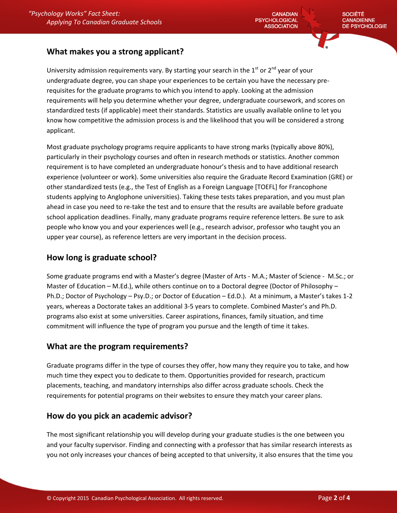#### **What makes you a strong applicant?**

University admission requirements vary. By starting your search in the  $1<sup>st</sup>$  or  $2<sup>nd</sup>$  year of vour undergraduate degree, you can shape your experiences to be certain you have the necessary prerequisites for the graduate programs to which you intend to apply. Looking at the admission requirements will help you determine whether your degree, undergraduate coursework, and scores on standardized tests (if applicable) meet their standards. Statistics are usually available online to let you know how competitive the admission process is and the likelihood that you will be considered a strong applicant.

Most graduate psychology programs require applicants to have strong marks (typically above 80%), particularly in their psychology courses and often in research methods or statistics. Another common requirement is to have completed an undergraduate honour's thesis and to have additional research experience (volunteer or work). Some universities also require the Graduate Record Examination (GRE) or other standardized tests (e.g., the Test of English as a Foreign Language [TOEFL] for Francophone students applying to Anglophone universities). Taking these tests takes preparation, and you must plan ahead in case you need to re-take the test and to ensure that the results are available before graduate school application deadlines. Finally, many graduate programs require reference letters. Be sure to ask people who know you and your experiences well (e.g., research advisor, professor who taught you an upper year course), as reference letters are very important in the decision process.

#### **How long is graduate school?**

Some graduate programs end with a Master's degree (Master of Arts - M.A.; Master of Science - M.Sc.; or Master of Education – M.Ed.), while others continue on to a Doctoral degree (Doctor of Philosophy – Ph.D.; Doctor of Psychology – Psy.D.; or Doctor of Education – Ed.D.). At a minimum, a Master's takes 1-2 years, whereas a Doctorate takes an additional 3-5 years to complete. Combined Master's and Ph.D. programs also exist at some universities. Career aspirations, finances, family situation, and time commitment will influence the type of program you pursue and the length of time it takes.

#### **What are the program requirements?**

Graduate programs differ in the type of courses they offer, how many they require you to take, and how much time they expect you to dedicate to them. Opportunities provided for research, practicum placements, teaching, and mandatory internships also differ across graduate schools. Check the requirements for potential programs on their websites to ensure they match your career plans.

#### **How do you pick an academic advisor?**

The most significant relationship you will develop during your graduate studies is the one between you and your faculty supervisor. Finding and connecting with a professor that has similar research interests as you not only increases your chances of being accepted to that university, it also ensures that the time you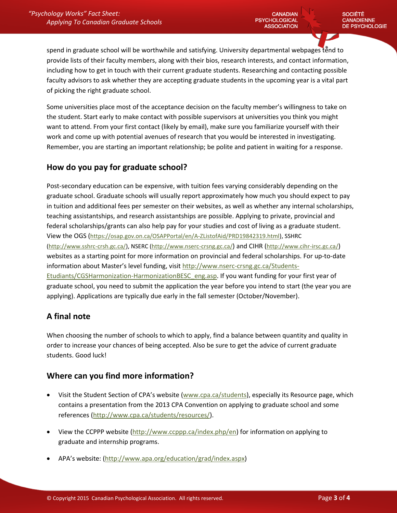spend in graduate school will be worthwhile and satisfying. University departmental webpages tend to provide lists of their faculty members, along with their bios, research interests, and contact information, including how to get in touch with their current graduate students. Researching and contacting possible faculty advisors to ask whether they are accepting graduate students in the upcoming year is a vital part of picking the right graduate school.

Some universities place most of the acceptance decision on the faculty member's willingness to take on the student. Start early to make contact with possible supervisors at universities you think you might want to attend. From your first contact (likely by email), make sure you familiarize yourself with their work and come up with potential avenues of research that you would be interested in investigating. Remember, you are starting an important relationship; be polite and patient in waiting for a response.

#### **How do you pay for graduate school?**

Post-secondary education can be expensive, with tuition fees varying considerably depending on the graduate school. Graduate schools will usually report approximately how much you should expect to pay in tuition and additional fees per semester on their websites, as well as whether any internal scholarships, teaching assistantships, and research assistantships are possible. Applying to private, provincial and federal scholarships/grants can also help pay for your studies and cost of living as a graduate student. View the OGS (https://osap.gov.on.ca/OSAPPortal/en/A-ZListofAid/PRD19842319.html), SSHRC (http://www.sshrc-crsh.gc.ca/), NSERC (http://www.nserc-crsng.gc.ca/) and CIHR (http://www.cihr-irsc.gc.ca/) websites as a starting point for more information on provincial and federal scholarships. For up-to-date information about Master's level funding, visit [http://www.nserc-crsng.gc.ca/Students-](http://www.nserc-crsng.gc.ca/Students-Etudiants/CGSHarmonization-HarmonizationBESC_eng.asp)[Etudiants/CGSHarmonization-HarmonizationBESC\\_eng.asp.](http://www.nserc-crsng.gc.ca/Students-Etudiants/CGSHarmonization-HarmonizationBESC_eng.asp) If you want funding for your first year of graduate school, you need to submit the application the year before you intend to start (the year you are applying). Applications are typically due early in the fall semester (October/November).

#### **A final note**

When choosing the number of schools to which to apply, find a balance between quantity and quality in order to increase your chances of being accepted. Also be sure to get the advice of current graduate students. Good luck!

#### **Where can you find more information?**

- Visit the Student Section of CPA's website ([www.cpa.ca/students\)](http://www.cpa.ca/students), especially its Resource page, which contains a presentation from the 2013 CPA Convention on applying to graduate school and some references [\(http://www.cpa.ca/students/resources/\)](http://www.cpa.ca/students/resources/).
- View the CCPPP website [\(http://www.ccppp.ca/index.php/en\)](http://www.ccppp.ca/index.php/en) for information on applying to graduate and internship programs.
- APA's website: [\(http://www.apa.org/education/grad/index.aspx\)](http://www.apa.org/education/grad/index.aspx)